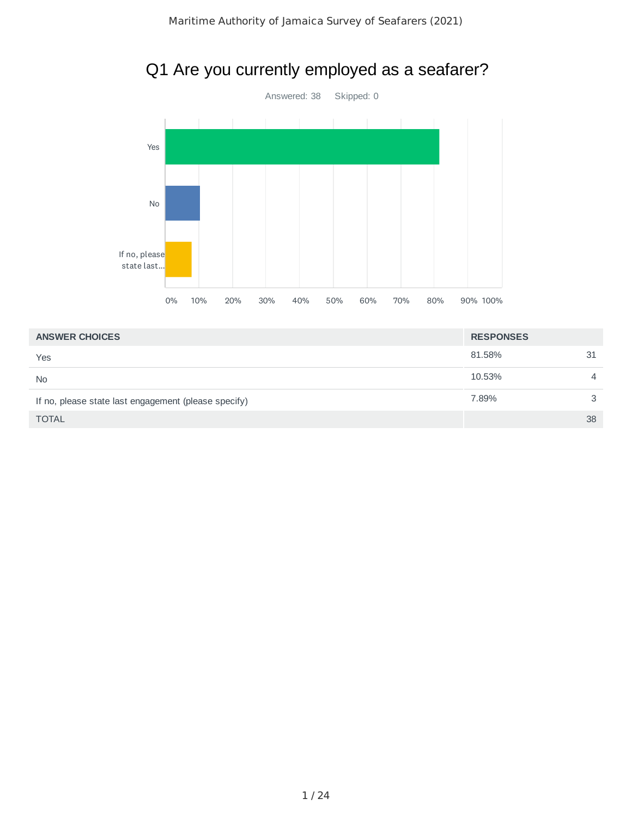



| <b>ANSWER CHOICES</b>                                | <b>RESPONSES</b> |                |
|------------------------------------------------------|------------------|----------------|
| Yes                                                  | 81.58%           | 31             |
| <b>No</b>                                            | 10.53%           | $\overline{4}$ |
| If no, please state last engagement (please specify) | 7.89%            | 3              |
| <b>TOTAL</b>                                         |                  | 38             |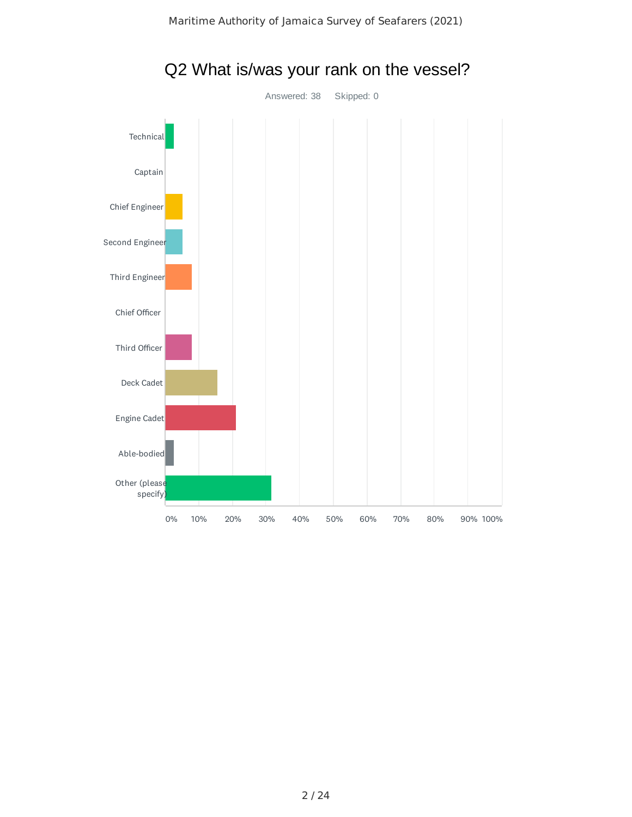

#### Q2 What is/was your rank on the vessel?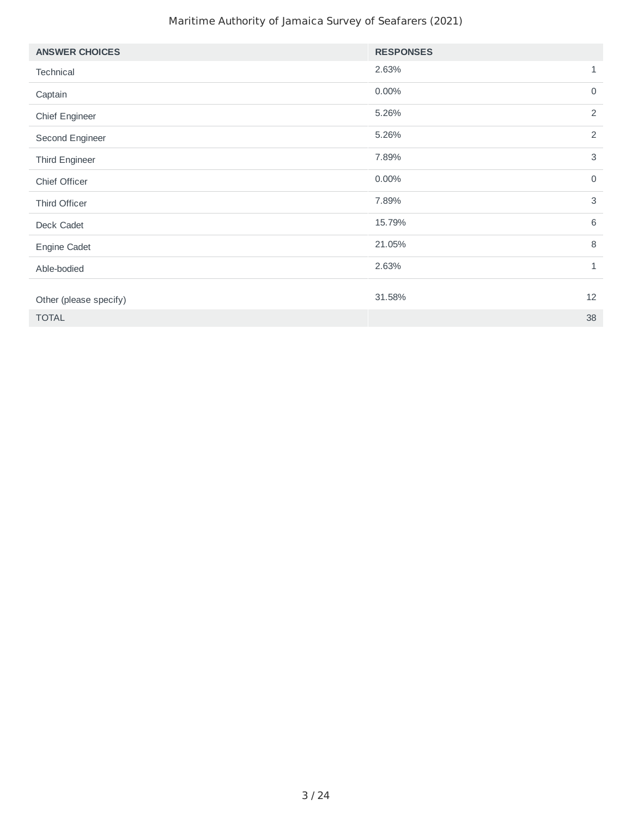#### Maritime Authority of Jamaica Survey of Seafarers (2021)

| <b>ANSWER CHOICES</b>  | <b>RESPONSES</b> |                |
|------------------------|------------------|----------------|
| Technical              | 2.63%            | $1\,$          |
| Captain                | 0.00%            | $\mathsf 0$    |
| Chief Engineer         | 5.26%            | $\overline{2}$ |
| Second Engineer        | 5.26%            | $\overline{2}$ |
| Third Engineer         | 7.89%            | $\sqrt{3}$     |
| Chief Officer          | 0.00%            | $\mathsf{O}$   |
| Third Officer          | 7.89%            | 3              |
| Deck Cadet             | 15.79%           | $6\,$          |
| Engine Cadet           | 21.05%           | 8              |
| Able-bodied            | 2.63%            | $\mathbf{1}$   |
|                        |                  |                |
| Other (please specify) | 31.58%           | 12             |
| <b>TOTAL</b>           |                  | 38             |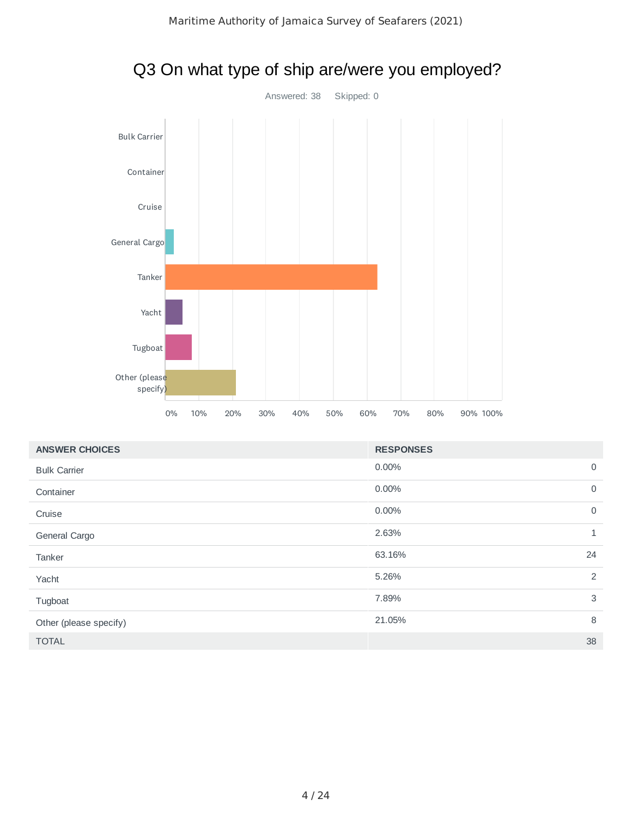

| Tanker                    |    |     |     |     |     |     |     |                  |     |          |  |
|---------------------------|----|-----|-----|-----|-----|-----|-----|------------------|-----|----------|--|
| Yacht                     |    |     |     |     |     |     |     |                  |     |          |  |
| Tugboat                   |    |     |     |     |     |     |     |                  |     |          |  |
| Other (please<br>specify) |    |     |     |     |     |     |     |                  |     |          |  |
|                           | 0% | 10% | 20% | 30% | 40% | 50% | 60% | 70%              | 80% | 90% 100% |  |
| <b>ANSWER CHOICES</b>     |    |     |     |     |     |     |     | <b>RESPONSES</b> |     |          |  |
| <b>Bulk Carrier</b>       |    |     |     |     |     |     |     | $0.00\%$         |     |          |  |
| Container                 |    |     |     |     |     |     |     | $0.00\%$         |     |          |  |
| Cruise                    |    |     |     |     |     |     |     | 0.00%            |     |          |  |
| General Cargo             |    |     |     |     |     |     |     | 2.63%            |     |          |  |
| Tanker                    |    |     |     |     |     |     |     | 63.16%           |     |          |  |
|                           |    |     |     |     |     |     |     |                  |     |          |  |

## Q3 On what type of ship are/were you employed?

| <b>Bulk Carrier</b>    | 0.00%  | $\mathbf 0$  |
|------------------------|--------|--------------|
| Container              | 0.00%  | $\mathbf 0$  |
| Cruise                 | 0.00%  | $\mathsf{O}$ |
| General Cargo          | 2.63%  | 1            |
| Tanker                 | 63.16% | 24           |
| Yacht                  | 5.26%  | 2            |
| Tugboat                | 7.89%  | 3            |
| Other (please specify) | 21.05% | 8            |
| <b>TOTAL</b>           |        | 38           |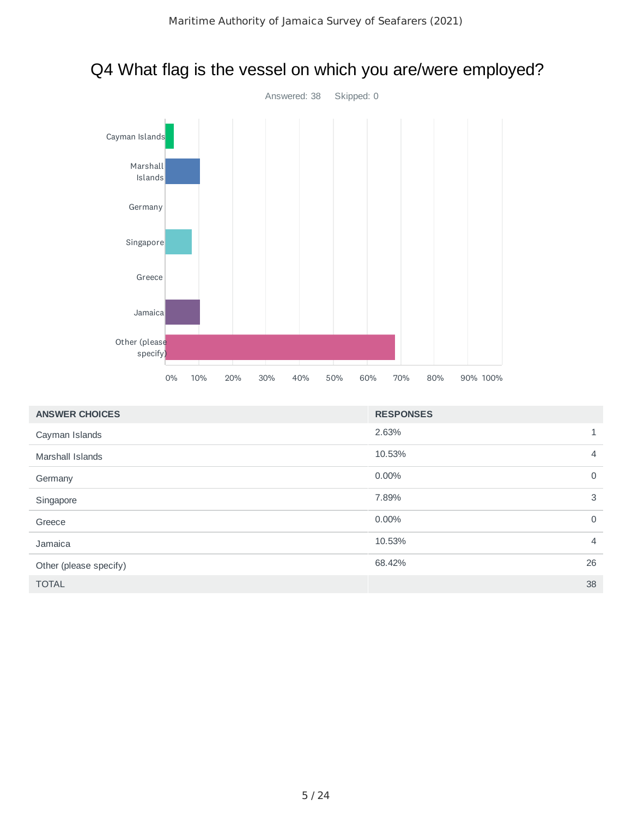

#### Q4 What flag is the vessel on which you are/were employed?

| <b>ANSWER CHOICES</b>  | <b>RESPONSES</b> |                |
|------------------------|------------------|----------------|
| Cayman Islands         | 2.63%            | $\mathbf{1}$   |
| Marshall Islands       | 10.53%           | $\overline{4}$ |
| Germany                | $0.00\%$         | $\mathbf 0$    |
| Singapore              | 7.89%            | 3              |
| Greece                 | $0.00\%$         | $\mathbf 0$    |
| Jamaica                | 10.53%           | $\overline{4}$ |
| Other (please specify) | 68.42%           | 26             |
| <b>TOTAL</b>           |                  | 38             |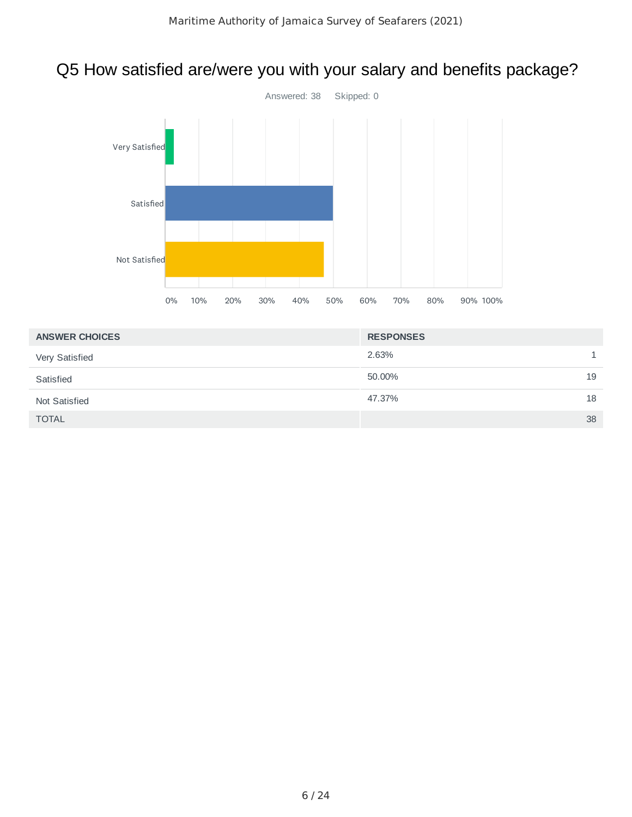## Q5 How satisfied are/were you with your salary and benefits package?



| <b>ANSWER CHOICES</b> | <b>RESPONSES</b> |    |
|-----------------------|------------------|----|
| Very Satisfied        | 2.63%            |    |
| Satisfied             | 50.00%           | 19 |
| Not Satisfied         | 47.37%           | 18 |
| <b>TOTAL</b>          |                  | 38 |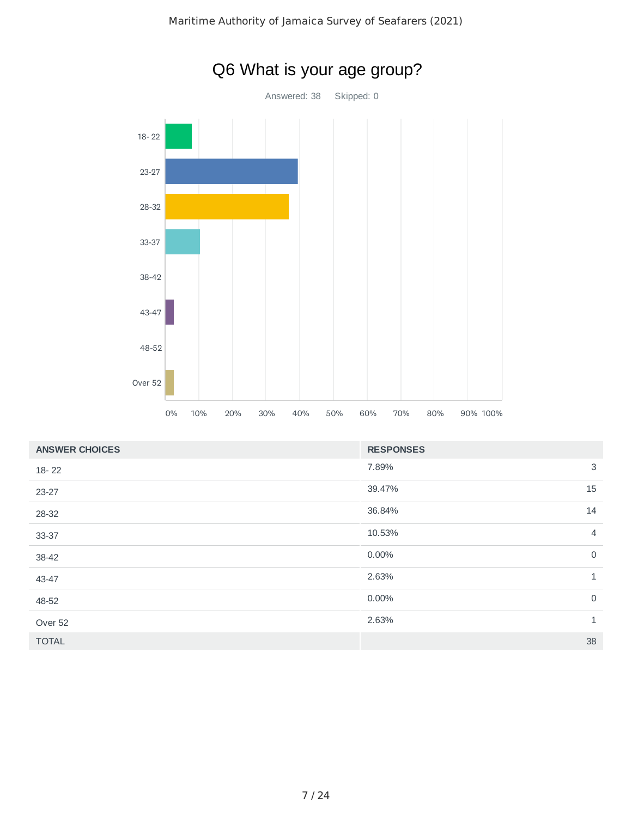

| <b>ANSWER CHOICES</b> | <b>RESPONSES</b>         |
|-----------------------|--------------------------|
| 18-22                 | 3<br>7.89%               |
| 23-27                 | 15<br>39.47%             |
| 28-32                 | 14<br>36.84%             |
| 33-37                 | 10.53%<br>$\overline{4}$ |
| 38-42                 | $\mathsf{O}$<br>0.00%    |
| 43-47                 | $\mathbf{1}$<br>2.63%    |
| 48-52                 | $\mathsf{O}$<br>0.00%    |
| Over 52               | 2.63%<br>$\mathbf{1}$    |
| <b>TOTAL</b>          | 38                       |

# Q6 What is your age group?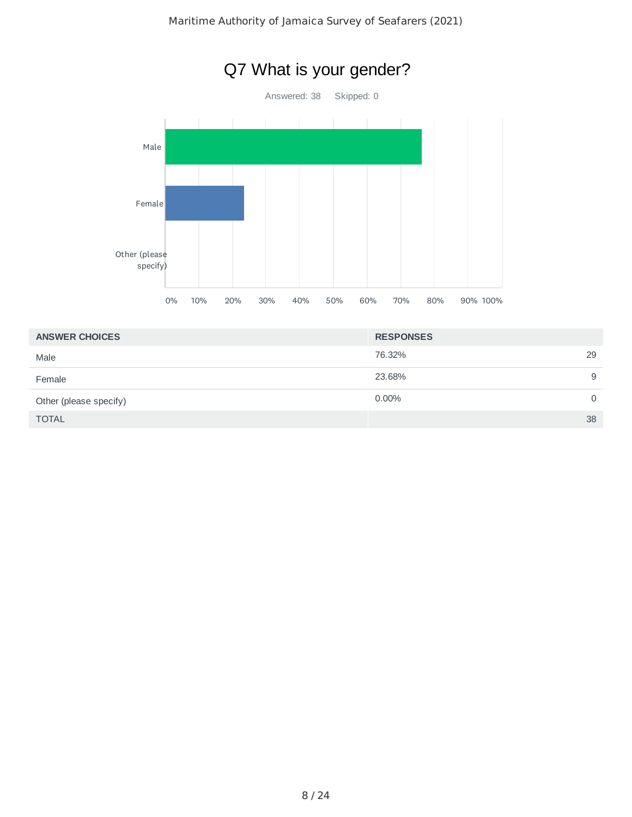

| <b>ANSWER CHOICES</b>  | <b>RESPONSES</b>     |
|------------------------|----------------------|
| Male                   | 76.32%<br>29         |
| Female                 | 23.68%<br>9          |
| Other (please specify) | $0.00\%$<br>$\Omega$ |
| <b>TOTAL</b>           | 38                   |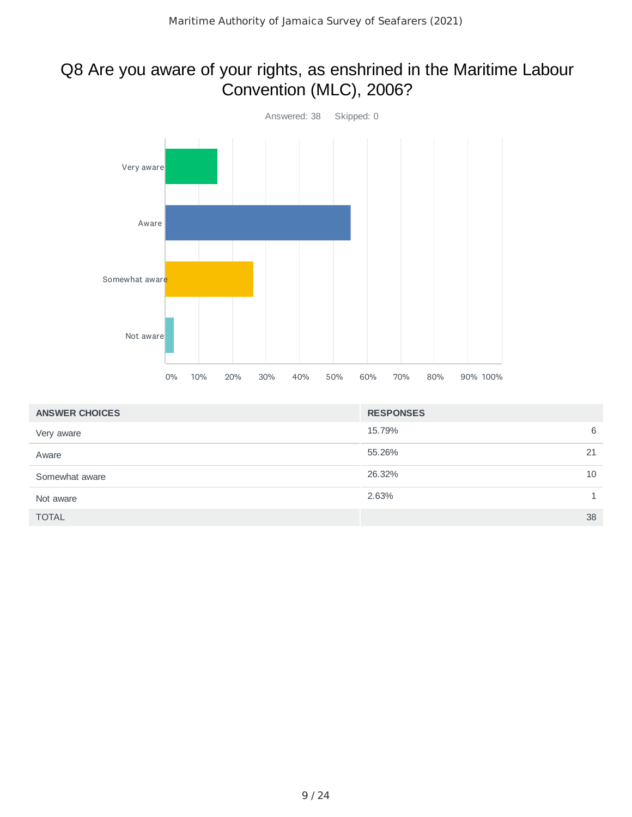#### Q8 Are you aware of your rights, as enshrined in the Maritime Labour Convention (MLC), 2006?



| <b>ANSWER CHOICES</b> | <b>RESPONSES</b> |    |
|-----------------------|------------------|----|
| Very aware            | 15.79%           | 6  |
| Aware                 | 55.26%           | 21 |
| Somewhat aware        | 26.32%           | 10 |
| Not aware             | 2.63%            |    |
| <b>TOTAL</b>          |                  | 38 |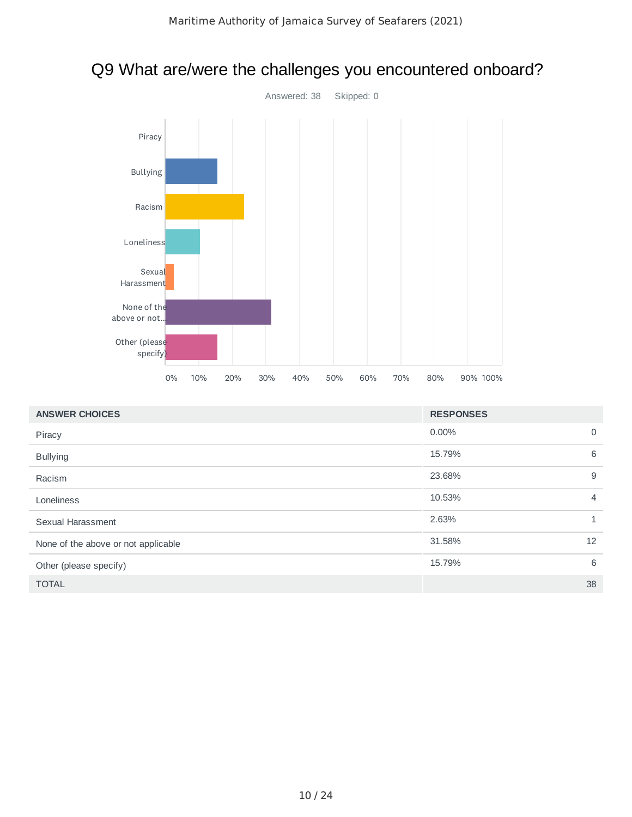

#### Q9 What are/were the challenges you encountered onboard?

| <b>ANSWER CHOICES</b>               | <b>RESPONSES</b> |                |
|-------------------------------------|------------------|----------------|
| Piracy                              | $0.00\%$         | $\mathbf 0$    |
| <b>Bullying</b>                     | 15.79%           | 6              |
| Racism                              | 23.68%           | 9              |
| Loneliness                          | 10.53%           | $\overline{4}$ |
| Sexual Harassment                   | 2.63%            | $\mathbf{1}$   |
| None of the above or not applicable | 31.58%           | 12             |
| Other (please specify)              | 15.79%           | 6              |
| <b>TOTAL</b>                        |                  | 38             |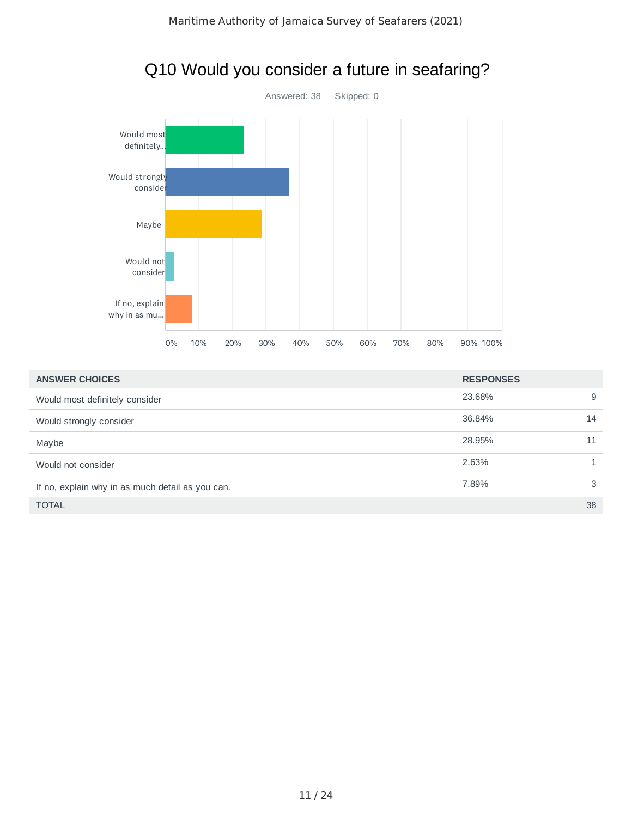

#### Q10 Would you consider a future in seafaring?

| <b>ANSWER CHOICES</b>                            | <b>RESPONSES</b> |    |
|--------------------------------------------------|------------------|----|
| Would most definitely consider                   | 23.68%           | 9  |
| Would strongly consider                          | 36.84%           | 14 |
| Maybe                                            | 28.95%           | 11 |
| Would not consider                               | 2.63%            |    |
| If no, explain why in as much detail as you can. | 7.89%            | 3  |
| <b>TOTAL</b>                                     |                  | 38 |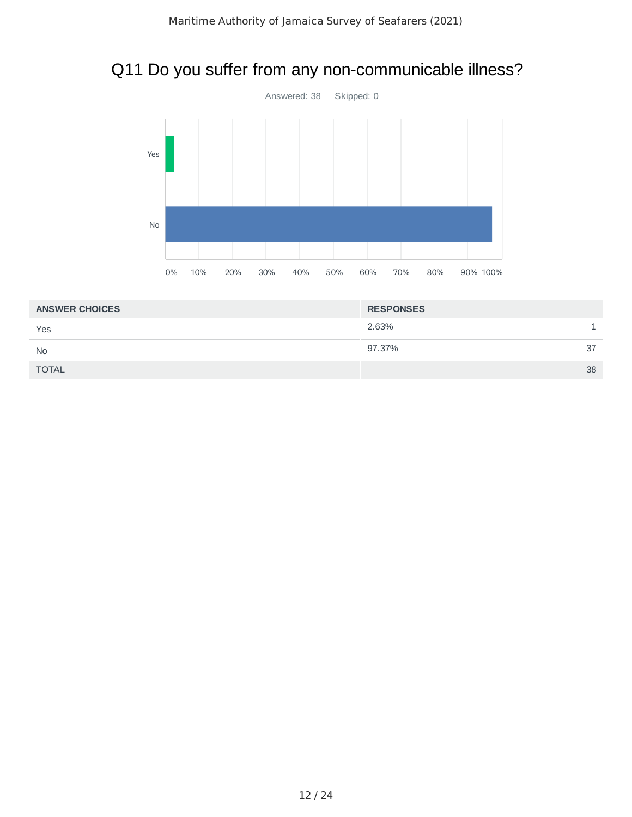#### Q11 Do you suffer from any non-communicable illness?



| <b>ANSWER CHOICES</b> | <b>RESPONSES</b> |    |
|-----------------------|------------------|----|
| Yes                   | 2.63%            |    |
| <b>No</b>             | 97.37%           | 37 |
| <b>TOTAL</b>          |                  | 38 |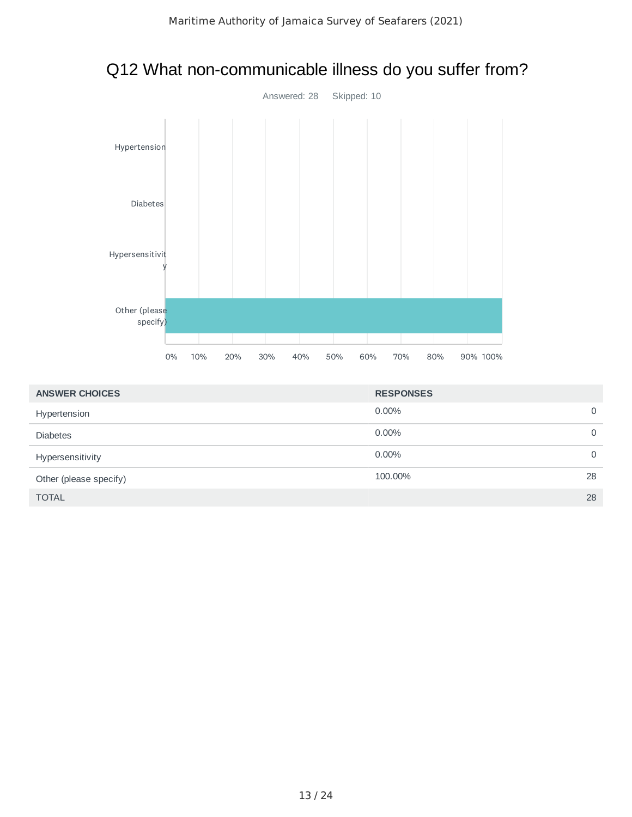

#### Q12 What non-communicable illness do you suffer from?

| <b>ANSWER CHOICES</b>  | <b>RESPONSES</b> |              |
|------------------------|------------------|--------------|
| Hypertension           | $0.00\%$         | $\mathbf{0}$ |
| <b>Diabetes</b>        | $0.00\%$         | $\mathbf{0}$ |
| Hypersensitivity       | $0.00\%$         | $\Omega$     |
| Other (please specify) | 100.00%          | 28           |
| <b>TOTAL</b>           |                  | 28           |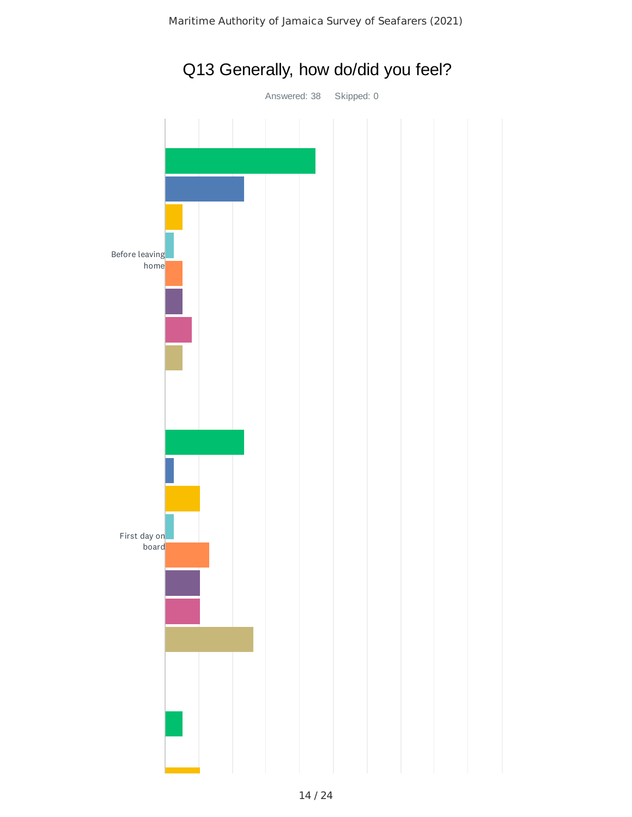

## Q13 Generally, how do/did you feel?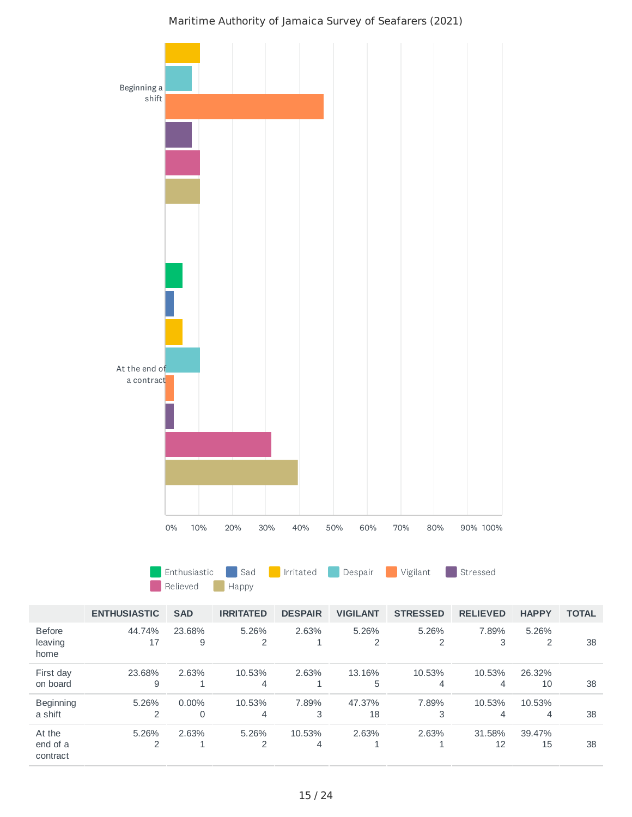

#### Maritime Authority of Jamaica Survey of Seafarers (2021)

4

1

1

12

15 38

2

Before leaving home

First day on board Beginning a shift At the end of a contract

1

2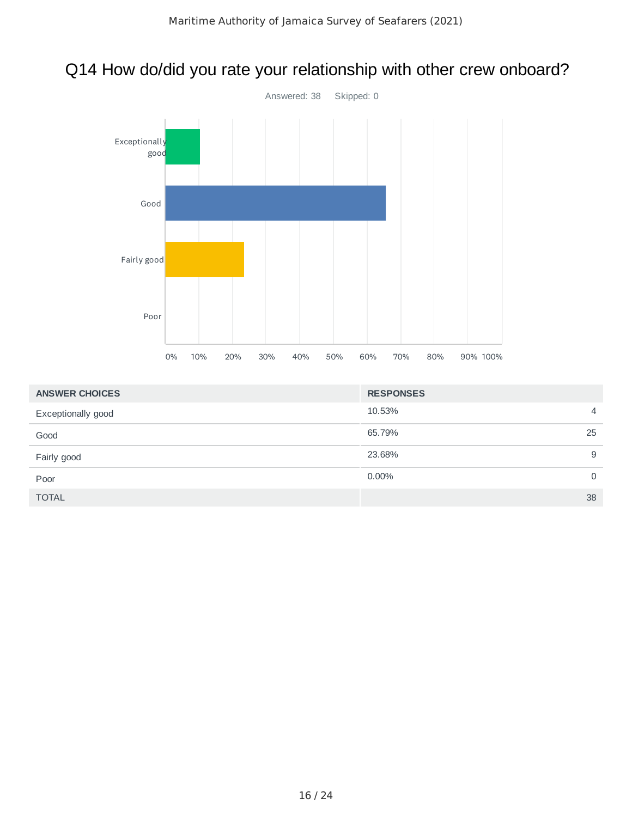### Q14 How do/did you rate your relationship with other crew onboard?



| <b>ANSWER CHOICES</b> | <b>RESPONSES</b> |          |
|-----------------------|------------------|----------|
| Exceptionally good    | 10.53%           | 4        |
| Good                  | 65.79%           | 25       |
| Fairly good           | 23.68%           | 9        |
| Poor                  | 0.00%            | $\Omega$ |
| <b>TOTAL</b>          |                  | 38       |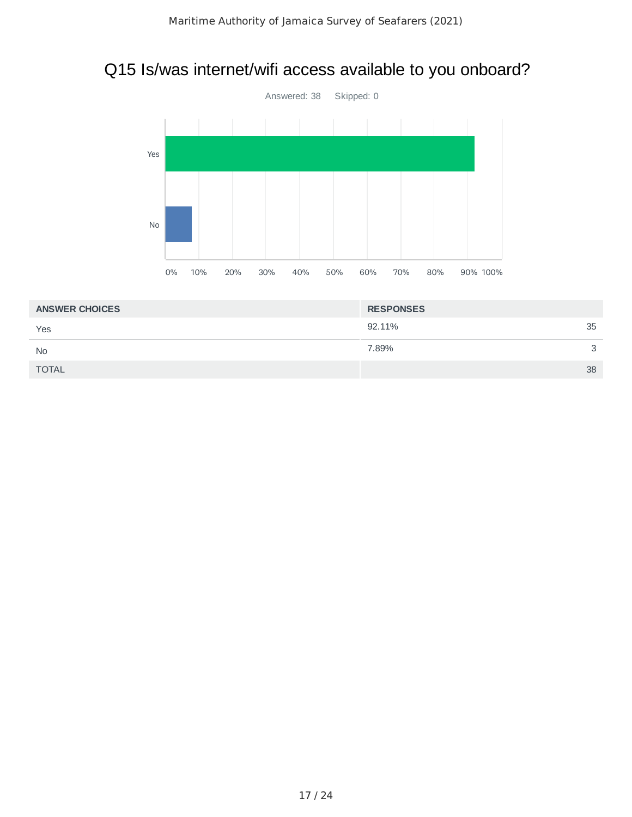#### Q15 Is/was internet/wifi access available to you onboard?



| <b>ANSWER CHOICES</b> | <b>RESPONSES</b> |    |
|-----------------------|------------------|----|
| Yes                   | 92.11%           | 35 |
| <b>No</b>             | 7.89%            | 3  |
| <b>TOTAL</b>          |                  | 38 |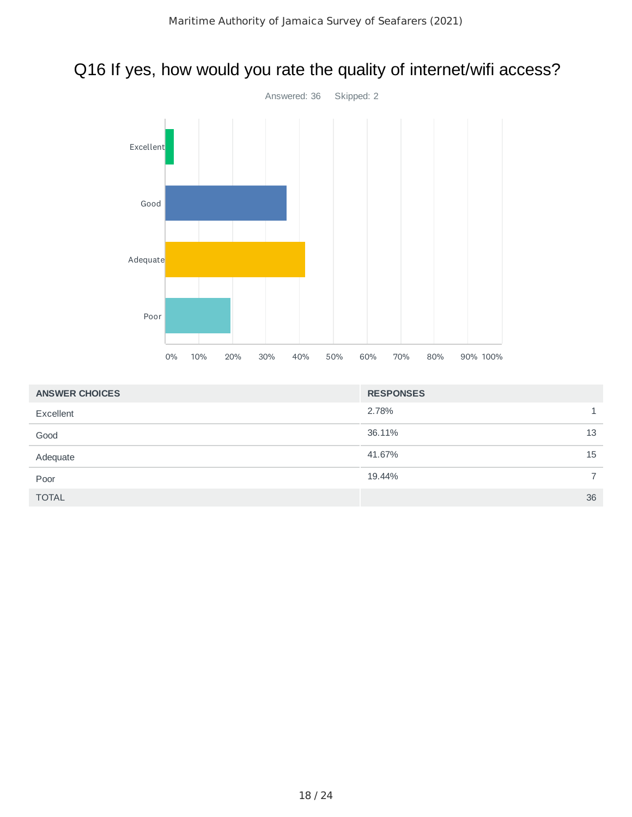## Q16 If yes, how would you rate the quality of internet/wifi access?



| <b>ANSWER CHOICES</b> | <b>RESPONSES</b> |    |
|-----------------------|------------------|----|
| Excellent             | 2.78%            | 1. |
| Good                  | 36.11%           | 13 |
| Adequate              | 41.67%           | 15 |
| Poor                  | 19.44%           | 7  |
| <b>TOTAL</b>          |                  | 36 |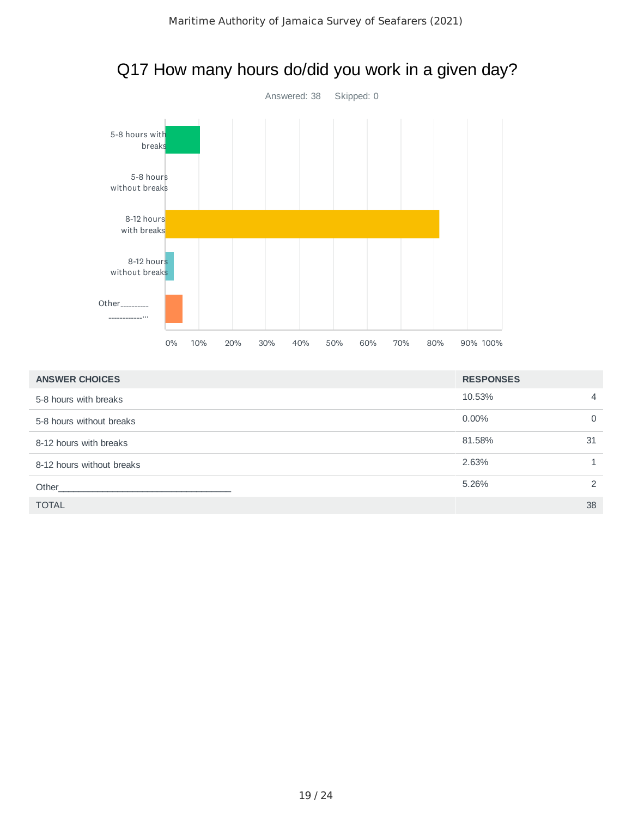

| <b>ANSWER CHOICES</b>     | <b>RESPONSES</b> |                |
|---------------------------|------------------|----------------|
| 5-8 hours with breaks     | 10.53%           | $\overline{4}$ |
| 5-8 hours without breaks  | $0.00\%$         | $\Omega$       |
| 8-12 hours with breaks    | 81.58%           | 31             |
| 8-12 hours without breaks | 2.63%            |                |
| Other                     | 5.26%            | $\mathcal{P}$  |
| <b>TOTAL</b>              |                  | 38             |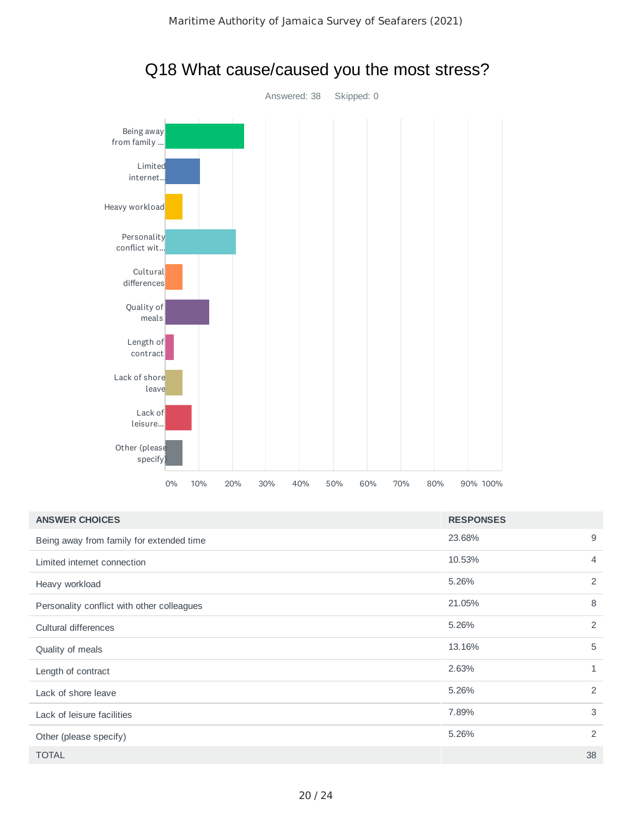

| leisure                                    |    |     |     |     |     |     |     |     |     |                  |             |
|--------------------------------------------|----|-----|-----|-----|-----|-----|-----|-----|-----|------------------|-------------|
| Other (please<br>specify)                  |    |     |     |     |     |     |     |     |     |                  |             |
|                                            | 0% | 10% | 20% | 30% | 40% | 50% | 60% | 70% | 80% | 90% 100%         |             |
| <b>ANSWER CHOICES</b>                      |    |     |     |     |     |     |     |     |     | <b>RESPONSES</b> |             |
| Being away from family for extended time   |    |     |     |     |     |     |     |     |     | 23.68%           |             |
| Limited internet connection                |    |     |     |     |     |     |     |     |     | 10.53%           |             |
| Heavy workload                             |    |     |     |     |     |     |     |     |     | 5.26%            | 2           |
| Personality conflict with other colleagues |    |     |     |     |     |     |     |     |     | 21.05%           | 8           |
| Cultural differences                       |    |     |     |     |     |     |     |     |     | 5.26%            |             |
| Quality of meals                           |    |     |     |     |     |     |     |     |     | 13.16%           | $\mathbf 5$ |
| Length of contract                         |    |     |     |     |     |     |     |     |     | 2.63%            |             |
| Lack of shore leave                        |    |     |     |     |     |     |     |     |     | 5.26%            | 2           |
| Lack of leisure facilities                 |    |     |     |     |     |     |     |     |     | 7.89%            |             |
| Other (please specify)                     |    |     |     |     |     |     |     |     |     | 5.26%            |             |
| <b>TOTAL</b>                               |    |     |     |     |     |     |     |     |     |                  | 38          |

#### Q18 What cause/caused you the most stress?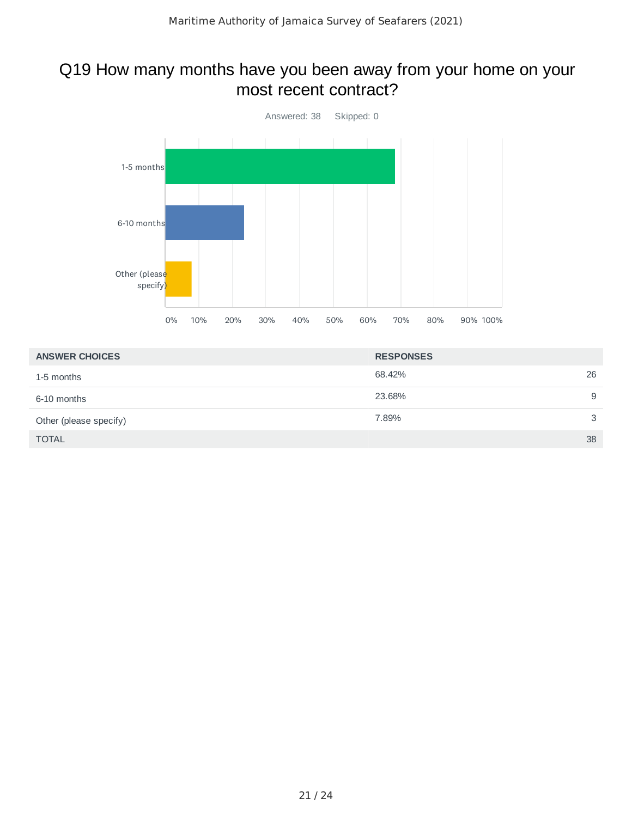#### Q19 How many months have you been away from your home on your most recent contract?



| <b>ANSWER CHOICES</b>  | <b>RESPONSES</b> |
|------------------------|------------------|
| 1-5 months             | 26<br>68.42%     |
| 6-10 months            | 9<br>23.68%      |
| Other (please specify) | 3<br>7.89%       |
| <b>TOTAL</b>           | 38               |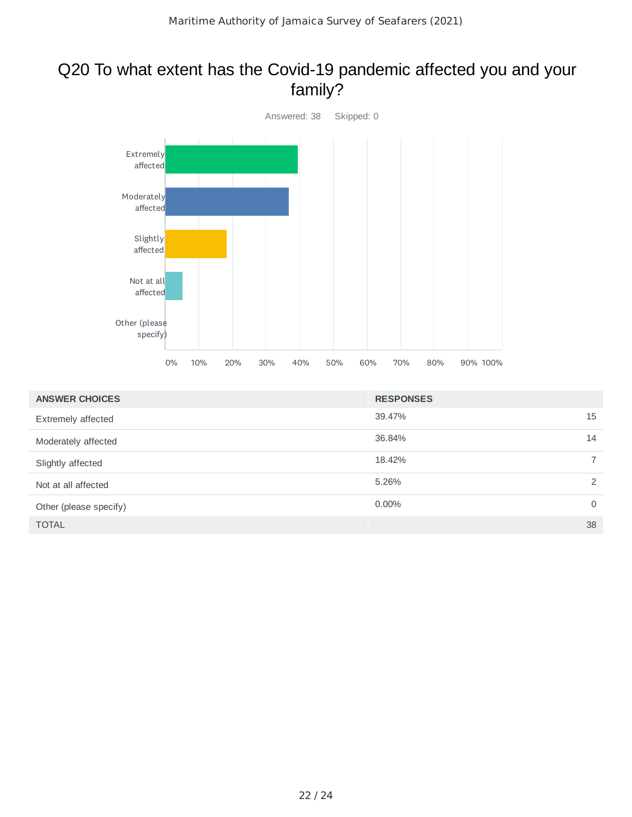#### Q20 To what extent has the Covid-19 pandemic affected you and your family?



| <b>ANSWER CHOICES</b>  | <b>RESPONSES</b> |                |
|------------------------|------------------|----------------|
| Extremely affected     | 39.47%           | 15             |
| Moderately affected    | 36.84%           | 14             |
| Slightly affected      | 18.42%           | $\overline{7}$ |
| Not at all affected    | 5.26%            | 2              |
| Other (please specify) | 0.00%            | $\mathbf 0$    |
| <b>TOTAL</b>           |                  | 38             |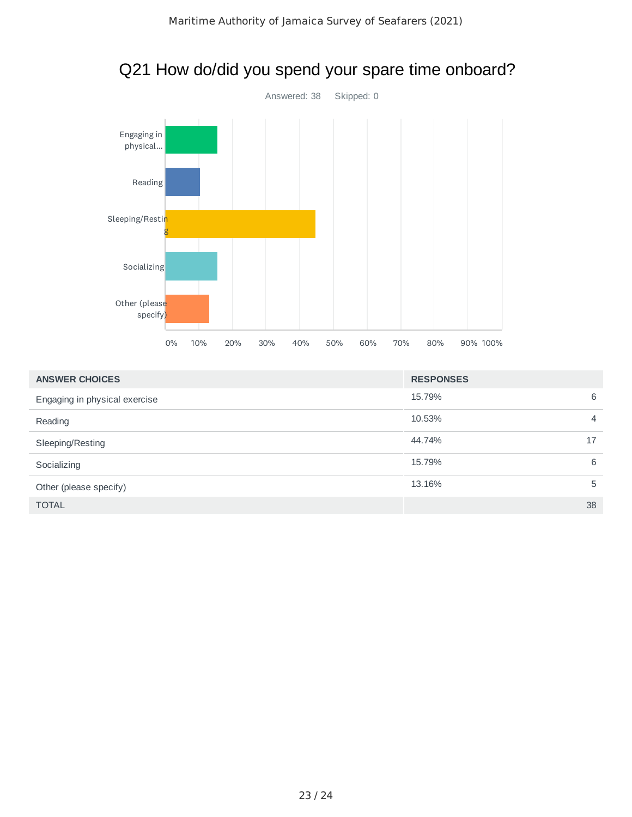

#### Q21 How do/did you spend your spare time onboard?

| <b>ANSWER CHOICES</b>         | <b>RESPONSES</b> |
|-------------------------------|------------------|
| Engaging in physical exercise | 6<br>15.79%      |
| Reading                       | 10.53%<br>4      |
| Sleeping/Resting              | 44.74%<br>17     |
| Socializing                   | 15.79%<br>6      |
| Other (please specify)        | 13.16%<br>5      |
| <b>TOTAL</b>                  | 38               |